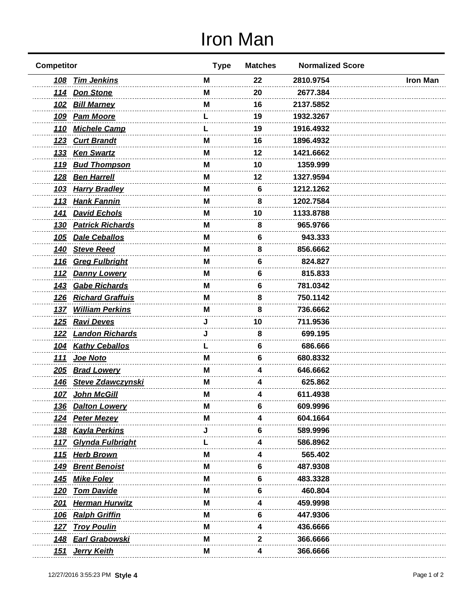## Iron Man

| <b>Competitor</b>                      | <b>Type</b> | <b>Matches</b> | <b>Normalized Score</b> |                 |
|----------------------------------------|-------------|----------------|-------------------------|-----------------|
| 108 Tim Jenkins                        | М           | 22             | 2810.9754               | <b>Iron Man</b> |
| 114 Don Stone                          | м           | 20             | 2677.384                |                 |
| 102 Bill Marney                        | м           | 16             | 2137.5852               |                 |
| <b>Pam Moore</b><br><u>109</u>         |             | 19             | 1932.3267               |                 |
| 110 Michele Camp                       |             | 19             | 1916.4932               |                 |
| <b>Curt Brandt</b><br><u>123</u>       | M           | 16             | 1896.4932               |                 |
| <b>Ken Swartz</b><br><u>133</u>        | M           | 12             | 1421.6662               |                 |
| <b>Bud Thompson</b><br><u> 119</u>     | М           | 10             | 1359.999                |                 |
| <b>Ben Harrell</b><br><u>128</u>       | м           | 12             | 1327.9594               |                 |
| <b>Harry Bradley</b><br><u> 103</u>    | M           | 6              | 1212.1262               |                 |
| <b>Hank Fannin</b><br><u>113</u>       | M           | 8              | 1202.7584               |                 |
| 141 David Echols                       | M           | 10             | 1133.8788               |                 |
| <b>Patrick Richards</b><br><u>130</u>  | М           | 8              | 965.9766                |                 |
| <b>Dale Ceballos</b><br><u>105</u>     | м           | 6              | 943.333                 |                 |
| 140 Steve Reed                         | M           | 8              | 856.6662                |                 |
| <b>Greg Fulbright</b><br><u>116</u>    | M           | 6              | 824.827                 |                 |
| <u> 112</u><br><b>Danny Lowery</b>     | м           | 6              | 815.833                 |                 |
| <b>Gabe Richards</b><br><u>143</u>     | M           | 6              | 781.0342                |                 |
| <b>Richard Graffuis</b><br><u>126</u>  | м           | 8              | 750.1142                |                 |
| 137 William Perkins                    | М           | 8              | 736.6662                |                 |
| <b>Ravi Deves</b><br><u>125</u>        |             | 10             | 711.9536                |                 |
| <b>Landon Richards</b><br><u>122</u>   |             | 8              | 699.195                 |                 |
| <b>Kathy Ceballos</b><br><u> 104</u>   |             | 6              | 686.666                 |                 |
| Joe Noto<br><u>111</u>                 | м           | 6              | 680.8332                |                 |
| <b>Brad Lowery</b><br><u>205</u>       | M           | 4              | 646.6662                |                 |
| <b>Steve Zdawczynski</b><br><u>146</u> | M           | 4              | 625.862                 |                 |
| 107 John McGill                        | M           | 4              | 611.4938                |                 |
| <u>136</u><br><b>Dalton Lowery</b>     | M           | o              | 609.9996                |                 |
| 124 Peter Mezey                        |             |                | 604.1664                |                 |
| <b>Kayla Perkins</b><br><u> 138</u>    |             |                | 589.9996                |                 |
| Glynda Fulbright<br><u> 117</u>        |             |                | 586.8962                |                 |
| <b>Herb Brown</b><br><u> 115</u>       | м           | 4              | 565.402                 |                 |
| <b>Brent Benoist</b><br><u> 149</u>    | M           | 6              | 487.9308                |                 |
| <b>Mike Foley</b><br><u>145</u>        | M           | 6              | 483.3328                |                 |
| <b>Tom Davide</b><br><u> 120</u>       | м           |                | 460.804                 |                 |
| <b>Herman Hurwitz</b><br><u> 201</u>   | м           |                | 459.9998                |                 |
| <b>Ralph Griffin</b><br><u> 106</u>    | M           | 6              | 447.9306                |                 |
| <b>Troy Poulin</b><br><u> 127</u>      | M           | 4              | 436.6666                |                 |
| <b>Earl Grabowski</b><br><u>148</u>    | M           | 2              | 366.6666                |                 |
| Jerry Keith<br><u> 151</u>             | М           |                | 366.6666                |                 |